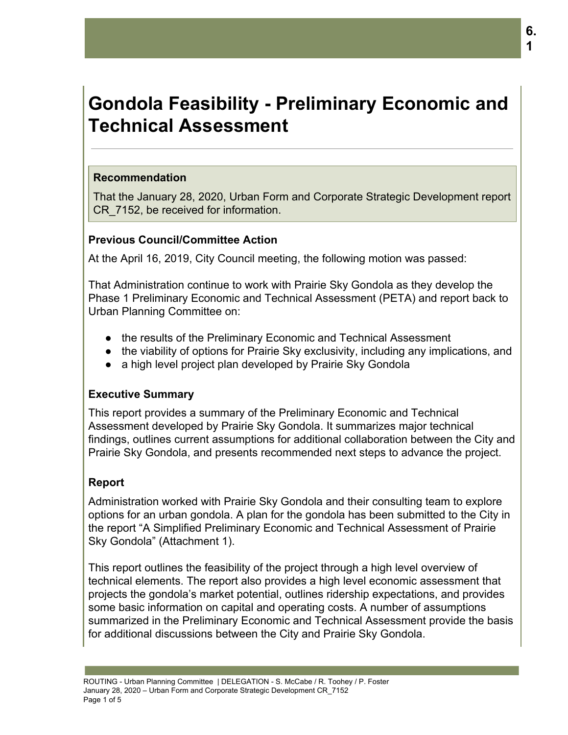# **Gondola Feasibility - Preliminary Economic and Technical Assessment**

#### **Recommendation**

That the January 28, 2020, Urban Form and Corporate Strategic Development report CR\_7152, be received for information.

## **Previous Council/Committee Action**

At the April 16, 2019, City Council meeting, the following motion was passed:

That Administration continue to work with Prairie Sky Gondola as they develop the Phase 1 Preliminary Economic and Technical Assessment (PETA) and report back to Urban Planning Committee on:

- the results of the Preliminary Economic and Technical Assessment
- the viability of options for Prairie Sky exclusivity, including any implications, and
- a high level project plan developed by Prairie Sky Gondola

# **Executive Summary**

This report provides a summary of the Preliminary Economic and Technical Assessment developed by Prairie Sky Gondola. It summarizes major technical findings, outlines current assumptions for additional collaboration between the City and Prairie Sky Gondola, and presents recommended next steps to advance the project.

# **Report**

Administration worked with Prairie Sky Gondola and their consulting team to explore options for an urban gondola. A plan for the gondola has been submitted to the City in the report "A Simplified Preliminary Economic and Technical Assessment of Prairie Sky Gondola" (Attachment 1).

This report outlines the feasibility of the project through a high level overview of technical elements. The report also provides a high level economic assessment that projects the gondola's market potential, outlines ridership expectations, and provides some basic information on capital and operating costs. A number of assumptions summarized in the Preliminary Economic and Technical Assessment provide the basis for additional discussions between the City and Prairie Sky Gondola.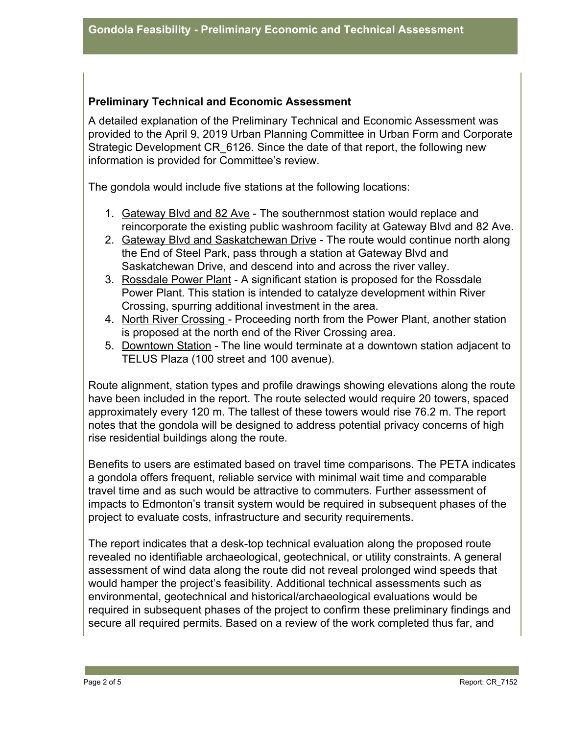## **Preliminary Technical and Economic Assessment**

A detailed explanation of the Preliminary Technical and Economic Assessment was provided to the April 9, 2019 Urban Planning Committee in Urban Form and Corporate Strategic Development CR\_6126. Since the date of that report, the following new information is provided for Committee's review.

The gondola would include five stations at the following locations:

- 1. Gateway Blvd and 82 Ave The southernmost station would replace and reincorporate the existing public washroom facility at Gateway Blvd and 82 Ave.
- 2. Gateway Blvd and Saskatchewan Drive The route would continue north along the End of Steel Park, pass through a station at Gateway Blvd and Saskatchewan Drive, and descend into and across the river valley.
- 3. Rossdale Power Plant A significant station is proposed for the Rossdale Power Plant. This station is intended to catalyze development within River Crossing, spurring additional investment in the area.
- 4. North River Crossing Proceeding north from the Power Plant, another station is proposed at the north end of the River Crossing area.
- 5. Downtown Station The line would terminate at a downtown station adjacent to TELUS Plaza (100 street and 100 avenue).

Route alignment, station types and profile drawings showing elevations along the route have been included in the report. The route selected would require 20 towers, spaced approximately every 120 m. The tallest of these towers would rise 76.2 m. The report notes that the gondola will be designed to address potential privacy concerns of high rise residential buildings along the route.

Benefits to users are estimated based on travel time comparisons. The PETA indicates a gondola offers frequent, reliable service with minimal wait time and comparable travel time and as such would be attractive to commuters. Further assessment of impacts to Edmonton's transit system would be required in subsequent phases of the project to evaluate costs, infrastructure and security requirements.

The report indicates that a desk-top technical evaluation along the proposed route revealed no identifiable archaeological, geotechnical, or utility constraints. A general assessment of wind data along the route did not reveal prolonged wind speeds that would hamper the project's feasibility. Additional technical assessments such as environmental, geotechnical and historical/archaeological evaluations would be required in subsequent phases of the project to confirm these preliminary findings and secure all required permits. Based on a review of the work completed thus far, and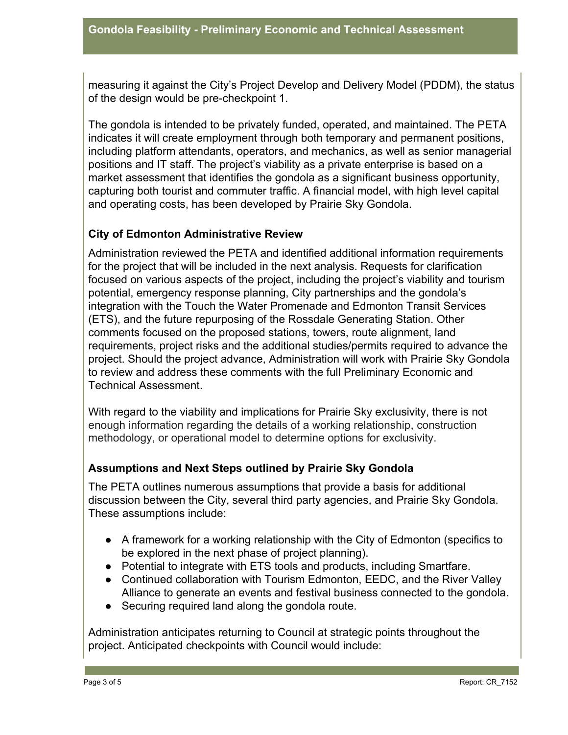measuring it against the City's Project Develop and Delivery Model (PDDM), the status of the design would be pre-checkpoint 1.

The gondola is intended to be privately funded, operated, and maintained. The PETA indicates it will create employment through both temporary and permanent positions, including platform attendants, operators, and mechanics, as well as senior managerial positions and IT staff. The project's viability as a private enterprise is based on a market assessment that identifies the gondola as a significant business opportunity, capturing both tourist and commuter traffic. A financial model, with high level capital and operating costs, has been developed by Prairie Sky Gondola.

#### **City of Edmonton Administrative Review**

Administration reviewed the PETA and identified additional information requirements for the project that will be included in the next analysis. Requests for clarification focused on various aspects of the project, including the project's viability and tourism potential, emergency response planning, City partnerships and the gondola's integration with the Touch the Water Promenade and Edmonton Transit Services (ETS), and the future repurposing of the Rossdale Generating Station. Other comments focused on the proposed stations, towers, route alignment, land requirements, project risks and the additional studies/permits required to advance the project. Should the project advance, Administration will work with Prairie Sky Gondola to review and address these comments with the full Preliminary Economic and Technical Assessment.

With regard to the viability and implications for Prairie Sky exclusivity, there is not enough information regarding the details of a working relationship, construction methodology, or operational model to determine options for exclusivity.

#### **Assumptions and Next Steps outlined by Prairie Sky Gondola**

The PETA outlines numerous assumptions that provide a basis for additional discussion between the City, several third party agencies, and Prairie Sky Gondola. These assumptions include:

- A framework for a working relationship with the City of Edmonton (specifics to be explored in the next phase of project planning).
- Potential to integrate with ETS tools and products, including Smartfare.
- Continued collaboration with Tourism Edmonton, EEDC, and the River Valley Alliance to generate an events and festival business connected to the gondola.
- Securing required land along the gondola route.

Administration anticipates returning to Council at strategic points throughout the project. Anticipated checkpoints with Council would include: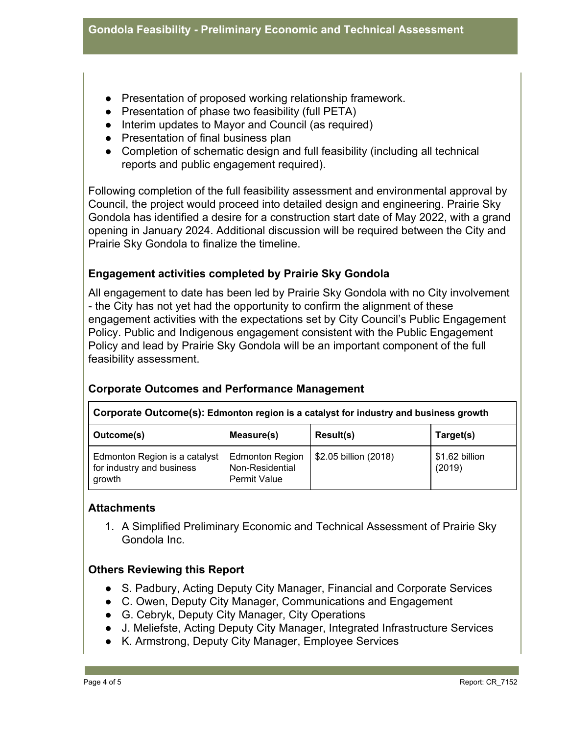- Presentation of proposed working relationship framework.
- Presentation of phase two feasibility (full PETA)
- Interim updates to Mayor and Council (as required)
- Presentation of final business plan
- Completion of schematic design and full feasibility (including all technical reports and public engagement required).

Following completion of the full feasibility assessment and environmental approval by Council, the project would proceed into detailed design and engineering. Prairie Sky Gondola has identified a desire for a construction start date of May 2022, with a grand opening in January 2024. Additional discussion will be required between the City and Prairie Sky Gondola to finalize the timeline.

## **Engagement activities completed by Prairie Sky Gondola**

All engagement to date has been led by Prairie Sky Gondola with no City involvement - the City has not yet had the opportunity to confirm the alignment of these engagement activities with the expectations set by City Council's Public Engagement Policy. Public and Indigenous engagement consistent with the Public Engagement Policy and lead by Prairie Sky Gondola will be an important component of the full feasibility assessment.

| Corporate Outcome(s): Edmonton region is a catalyst for industry and business growth |                                                           |                       |                          |
|--------------------------------------------------------------------------------------|-----------------------------------------------------------|-----------------------|--------------------------|
| Outcome(s)                                                                           | Measure(s)                                                | Result(s)             | Target(s)                |
| Edmonton Region is a catalyst<br>for industry and business<br>growth                 | <b>Edmonton Region</b><br>Non-Residential<br>Permit Value | \$2.05 billion (2018) | \$1.62 billion<br>(2019) |

#### **Corporate Outcomes and Performance Management**

#### **Attachments**

1. A Simplified Preliminary Economic and Technical Assessment of Prairie Sky Gondola Inc.

#### **Others Reviewing this Report**

- S. Padbury, Acting Deputy City Manager, Financial and Corporate Services
- C. Owen, Deputy City Manager, Communications and Engagement
- G. Cebryk, Deputy City Manager, City Operations
- J. Meliefste, Acting Deputy City Manager, Integrated Infrastructure Services
- K. Armstrong, Deputy City Manager, Employee Services